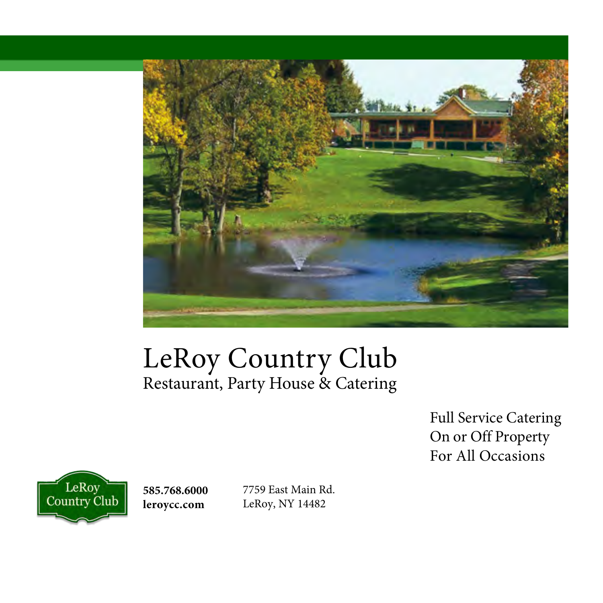

# LeRoy Country Club Restaurant, Party House & Catering

Full Service Catering On or Off Property For All Occasions



**585.768.6000 leroycc.com**

7759 East Main Rd. LeRoy, NY 14482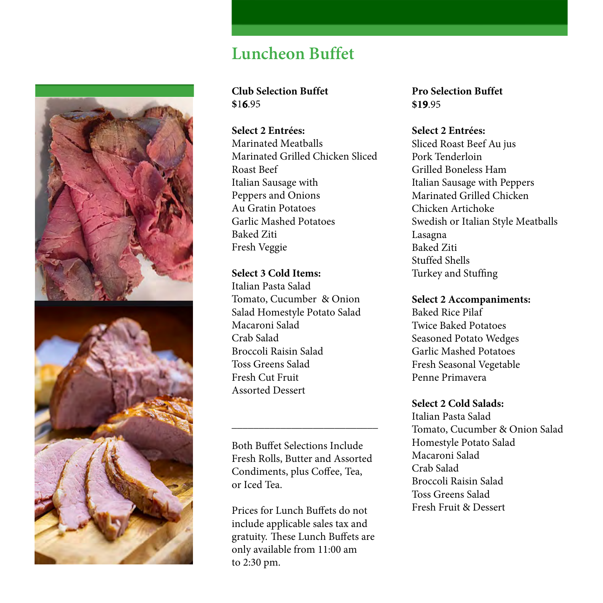

## **Luncheon Buffet**

### **Club Selection Buffet \$**1**6**.95

#### **Select 2 Entrées:**

Marinated Meatballs Marinated Grilled Chicken Sliced Roast Beef Italian Sausage with Peppers and Onions Au Gratin Potatoes Garlic Mashed Potatoes Baked Ziti Fresh Veggie

#### **Select 3 Cold Items:**

Italian Pasta Salad Tomato, Cucumber & Onion Salad Homestyle Potato Salad Macaroni Salad Crab Salad Broccoli Raisin Salad Toss Greens Salad Fresh Cut Fruit Assorted Dessert

Both Buffet Selections Include Fresh Rolls, Butter and Assorted Condiments, plus Coffee, Tea, or Iced Tea.

**\_\_\_\_\_\_\_\_\_\_\_\_\_\_\_\_\_\_\_\_\_\_\_\_\_\_\_**

Prices for Lunch Buffets do not include applicable sales tax and gratuity. These Lunch Buffets are only available from 11:00 am to 2:30 pm.

**Pro Selection Buffet \$19**.95

#### **Select 2 Entrées:**

Sliced Roast Beef Au jus Pork Tenderloin Grilled Boneless Ham Italian Sausage with Peppers Marinated Grilled Chicken Chicken Artichoke Swedish or Italian Style Meatballs Lasagna Baked Ziti Stuffed Shells Turkey and Stuffing

#### **Select 2 Accompaniments:**

Baked Rice Pilaf Twice Baked Potatoes Seasoned Potato Wedges Garlic Mashed Potatoes Fresh Seasonal Vegetable Penne Primavera

#### **Select 2 Cold Salads:**

Italian Pasta Salad Tomato, Cucumber & Onion Salad Homestyle Potato Salad Macaroni Salad Crab Salad Broccoli Raisin Salad Toss Greens Salad Fresh Fruit & Dessert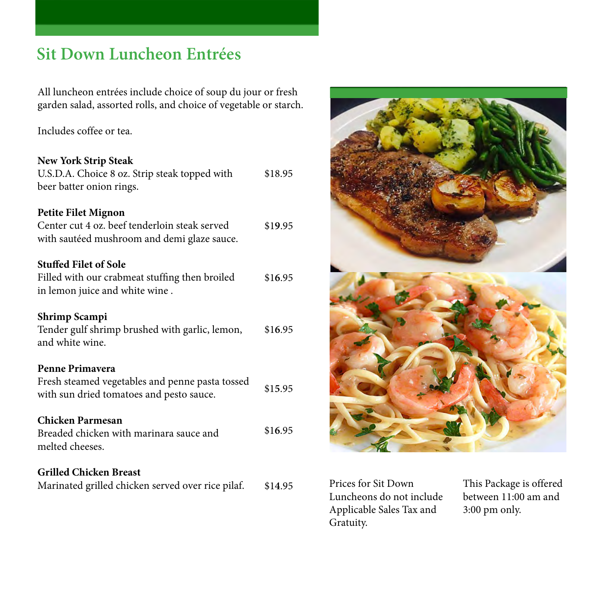## **Sit Down Luncheon Entrées**

All luncheon entrées include choice of soup du jour or fresh garden salad, assorted rolls, and choice of vegetable or starch.

Includes coffee or tea.

#### **New York Strip Steak**

| U.S.D.A. Choice 8 oz. Strip steak topped with<br>beer batter onion rings.                                                  | \$18.95 |
|----------------------------------------------------------------------------------------------------------------------------|---------|
| <b>Petite Filet Mignon</b><br>Center cut 4 oz. beef tenderloin steak served<br>with sautéed mushroom and demi glaze sauce. | \$19.95 |
| <b>Stuffed Filet of Sole</b><br>Filled with our crabmeat stuffing then broiled<br>in lemon juice and white wine.           | \$16.95 |
| Shrimp Scampi<br>Tender gulf shrimp brushed with garlic, lemon,<br>and white wine.                                         | \$16.95 |
| Penne Primayera<br>Fresh steamed vegetables and penne pasta tossed<br>with sun dried tomatoes and pesto sauce.             | \$15.95 |
| <b>Chicken Parmesan</b><br>Breaded chicken with marinara sauce and<br>melted cheeses.                                      | \$16.95 |
| <b>Grilled Chicken Breast</b><br>Marinated grilled chicken served over rice pilaf.                                         | \$14.95 |



Prices for Sit Down Luncheons do not include Applicable Sales Tax and Gratuity.

This Package is offered between 11:00 am and 3:00 pm only.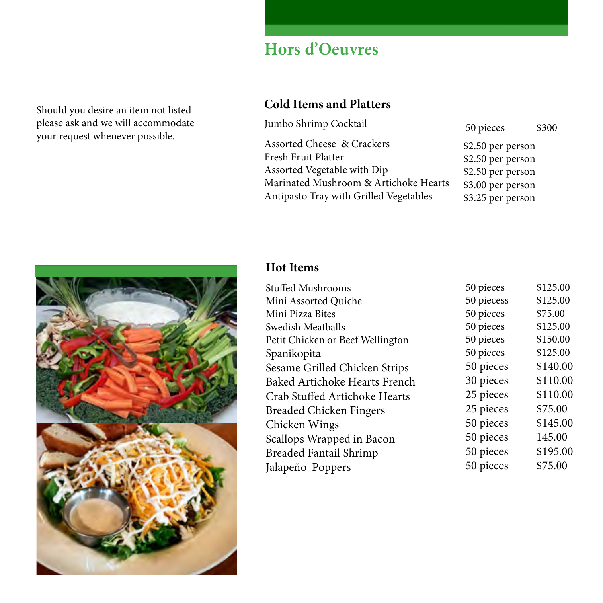Should you desire an item not listed please ask and we will accommodate your request whenever possible.

# **Hors d'Oeuvres**

## **Cold Items and Platters**

| Jumbo Shrimp Cocktail                  | 50 pieces         | \$300 |
|----------------------------------------|-------------------|-------|
| <b>Assorted Cheese &amp; Crackers</b>  | \$2.50 per person |       |
| Fresh Fruit Platter                    | \$2.50 per person |       |
| Assorted Vegetable with Dip            | \$2.50 per person |       |
| Marinated Mushroom & Artichoke Hearts  | \$3.00 per person |       |
| Antipasto Tray with Grilled Vegetables | \$3.25 per person |       |



## **Hot Items**

| <b>Stuffed Mushrooms</b>             | 50 pieces  | \$125.00 |
|--------------------------------------|------------|----------|
| Mini Assorted Quiche                 | 50 piecess | \$125.00 |
| Mini Pizza Bites                     | 50 pieces  | \$75.00  |
| Swedish Meatballs                    | 50 pieces  | \$125.00 |
| Petit Chicken or Beef Wellington     | 50 pieces  | \$150.00 |
| Spanikopita                          | 50 pieces  | \$125.00 |
| Sesame Grilled Chicken Strips        | 50 pieces  | \$140.00 |
| <b>Baked Artichoke Hearts French</b> | 30 pieces  | \$110.00 |
| Crab Stuffed Artichoke Hearts        | 25 pieces  | \$110.00 |
| <b>Breaded Chicken Fingers</b>       | 25 pieces  | \$75.00  |
| Chicken Wings                        | 50 pieces  | \$145.00 |
| Scallops Wrapped in Bacon            | 50 pieces  | 145.00   |
| Breaded Fantail Shrimp               | 50 pieces  | \$195.00 |
| Jalapeño Poppers                     | 50 pieces  | \$75.00  |
|                                      |            |          |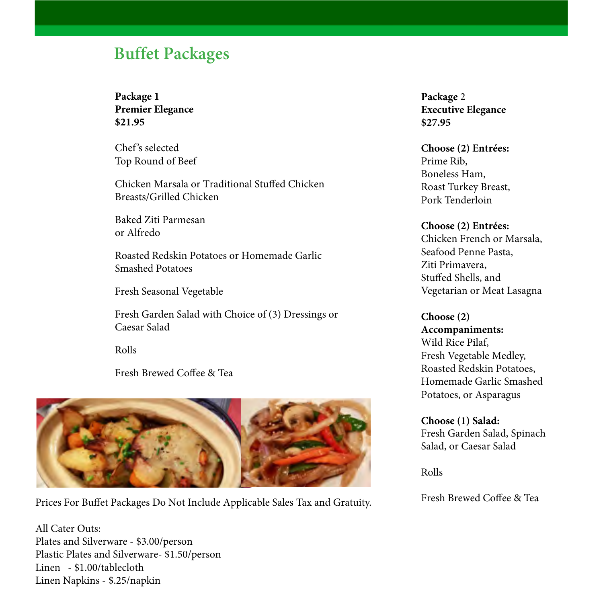## **Buffet Packages**

**Package 1 Premier Elegance \$21.95**

Chef's selected Top Round of Beef

Chicken Marsala or Traditional Stuffed Chicken Breasts/Grilled Chicken

Baked Ziti Parmesan or Alfredo

Roasted Redskin Potatoes or Homemade Garlic Smashed Potatoes

Fresh Seasonal Vegetable

Fresh Garden Salad with Choice of (3) Dressings or Caesar Salad

Rolls

Fresh Brewed Coffee & Tea



Prices For Buffet Packages Do Not Include Applicable Sales Tax and Gratuity. Fresh Brewed Coffee & Tea

All Cater Outs: Plates and Silverware - \$3.00/person Plastic Plates and Silverware- \$1.50/person Linen - \$1.00/tablecloth Linen Napkins - \$.25/napkin

**Package** 2 **Executive Elegance \$27.95**

**Choose (2) Entrées:** Prime Rib, Boneless Ham, Roast Turkey Breast, Pork Tenderloin

**Choose (2) Entrées:**  Chicken French or Marsala, Seafood Penne Pasta, Ziti Primavera, Stuffed Shells, and Vegetarian or Meat Lasagna

**Choose (2) Accompaniments:**  Wild Rice Pilaf, Fresh Vegetable Medley, Roasted Redskin Potatoes, Homemade Garlic Smashed Potatoes, or Asparagus

**Choose (1) Salad:** Fresh Garden Salad, Spinach Salad, or Caesar Salad

Rolls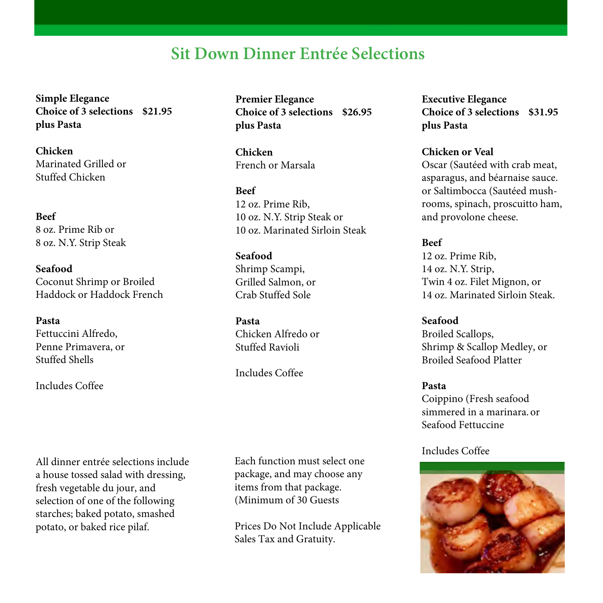## **Sit Down Dinner Entrée Selections**

**Simple Elegance Choice of 3 selections \$21.95 plus Pasta**

**Chicken** Marinated Grilled or Stuffed Chicken

**Beef** 8 oz. Prime Rib or 8 oz. N.Y. Strip Steak

**Seafood** Coconut Shrimp or Broiled Haddock or Haddock French

**Pasta**  Fettuccini Alfredo, Penne Primavera, or Stuffed Shells

Includes Coffee

All dinner entrée selections include a house tossed salad with dressing, fresh vegetable du jour, and selection of one of the following starches; baked potato, smashed potato, or baked rice pilaf.

**Premier Elegance Choice of 3 selections \$26.95 plus Pasta**

**Chicken** French or Marsala

**Beef** 12 oz. Prime Rib, 10 oz. N.Y. Strip Steak or 10 oz. Marinated Sirloin Steak

**Seafood** Shrimp Scampi, Grilled Salmon, or Crab Stuffed Sole

**Pasta**  Chicken Alfredo or Stuffed Ravioli

Includes Coffee

Each function must select one package, and may choose any items from that package. (Minimum of 30 Guests

Prices Do Not Include Applicable Sales Tax and Gratuity.

**Executive Elegance Choice of 3 selections \$31.95 plus Pasta** 

**Chicken or Veal** Oscar (Sautéed with crab meat, asparagus, and béarnaise sauce. or Saltimbocca (Sautéed mushrooms, spinach, proscuitto ham, and provolone cheese.

**Beef** 12 oz. Prime Rib, 14 oz. N.Y. Strip, Twin 4 oz. Filet Mignon, or 14 oz. Marinated Sirloin Steak.

**Seafood** Broiled Scallops, Shrimp & Scallop Medley, or Broiled Seafood Platter

**Pasta** Coippino (Fresh seafood simmered in a marinara. or Seafood Fettuccine

Includes Coffee

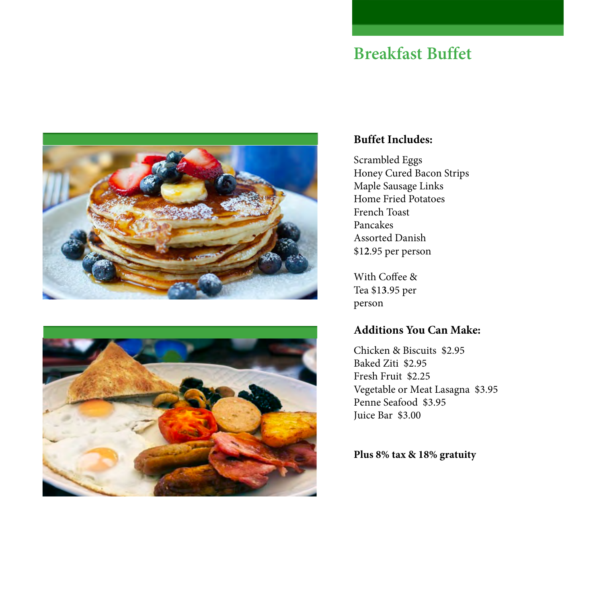## **Breakfast Buffet**





## **Buffet Includes:**

Scrambled Eggs Honey Cured Bacon Strips Maple Sausage Links Home Fried Potatoes French Toast Pancakes Assorted Danish \$1**2**.95 per person

With Coffee & Tea \$1**3**.95 per person

## **Additions You Can Make:**

Chicken & Biscuits \$2.95 Baked Ziti \$2.95 Fresh Fruit \$2.25 Vegetable or Meat Lasagna \$3.95 Penne Seafood \$3.95 Juice Bar \$3.00

**Plus 8% tax & 18% gratuity**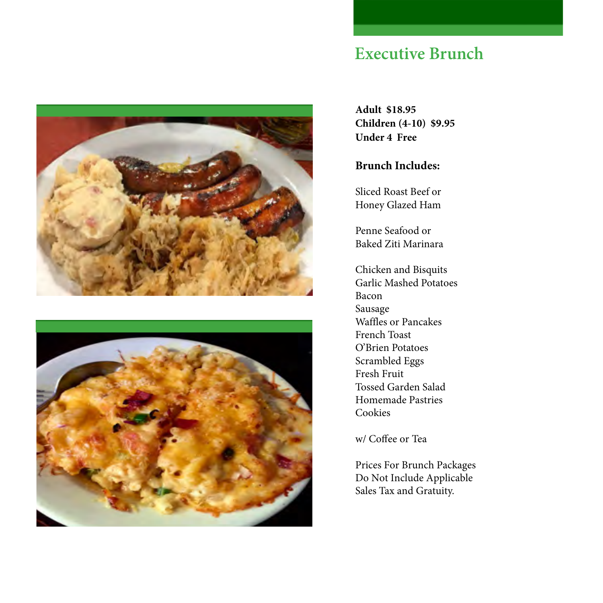

## **Executive Brunch**

**Adult \$18.95 Children (4-10) \$9.95 Under 4 Free**

## **Brunch Includes:**

Sliced Roast Beef or Honey Glazed Ham

Penne Seafood or Baked Ziti Marinara

Chicken and Bisquits Garlic Mashed Potatoes Bacon Sausage Waffles or Pancakes French Toast O'Brien Potatoes Scrambled Eggs Fresh Fruit Tossed Garden Salad Homemade Pastries Cookies

w/ Coffee or Tea

Prices For Brunch Packages Do Not Include Applicable Sales Tax and Gratuity.